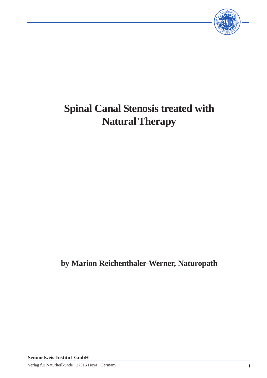

# **Spinal Canal Stenosis treated with Natural Therapy**

# **by Marion Reichenthaler-Werner, Naturopath**

**Semmelweis-Institut GmbH**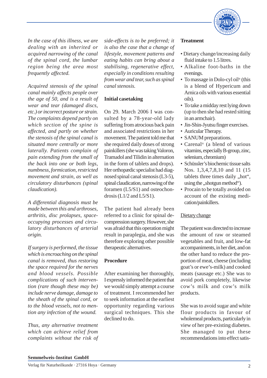

*In the case of this illness, we are dealing with an inherited or acquired narrowing of the canal of the spinal cord, the lumbar region being the area most frequently affected.*

*Acquired stenosis of the spinal canal mainly affects people over the age of 50, and is a result of wear and tear (damaged discs, etc.) or incorrect posture or strain. The complaints depend partly on which section of the spine is affected, and partly on whether the stenosis of the spinal canal is situated more centrally or more laterally. Patients complain of pain extending from the small of the back into one or both legs, numbness, formication, restricted movement and strain, as well as circulatory disturbances (spinal claudication).*

*A differential diagnosis must be made between this and arthroses, arthritis, disc prolapses, spaceoccupying processes and circulatory disturbances of arterial origin.*

*If surgery is performed, the tissue which is encroaching on the spinal canal is removed, thus restoring the space required for the nerves and blood vessels. Possible complications of such intervention (rare though these may be) include nerve damage, damage to the sheath of the spinal cord, or to the blood vessels, not to mention any infection of the wound.*

*Thus, any alternative treatment which can achieve relief from complaints without the risk of*

*side-effects is to be preferred; it is also the case that a change of lifestyle, movement patterns and eating habits can bring about a stabilising, regenerative effect, especially in conditions resulting from wear and tear, such as spinal canal stenosis.*

#### **Initial casetaking**

On 29. March 2006 I was consulted by a 78-year-old lady suffering from atrocious back pain and associated restrictions in her movement. The patient told me that she required daily doses of strong painkillers (she was taking Valoron, Tramadol and Tilidin in alternation in the form of tablets and drops). Her orthopædic specialist had diagnosed spinal canal stenosis (L3-5), spinal claudication, narrowing of the foramen (L5/S1) and osteochondrosis  $(L1/2$  and  $L5/S1$ ).

The patient had already been referred to a clinic for spinal decompression surgery. However, she was afraid that this operation might result in paraplegia, and she was therefore exploring other possible therapeutic alternatives.

#### **Procedure**

After examining her thoroughly, I expressly informed the patient that we would simply attempt a course of treatment. I recommended her to seek information at the earliest opportunity regarding various surgical techniques. This she declined to do.

#### **Treatment**

- Dietary change/increasing daily fluid intake to 1.5 litres.
- Alkaline foot-baths in the evenings.
- To massage in Dolo-cyl oil® (this is a blend of Hypericum and Arnica oils with various essential oils).
- To take a midday rest lying down (up to then she had rested sitting in an armchair).
- Jin-Shin-Jyutsu finger exercises.
- Auricular Therapy.
- SANUM preparations.
- Carenal® (a blend of various vitamins, especially B-group, zinc, selenium, chromium)
- Schüssler's biochemic tissue salts Nos. 1,3,4,7,8,10 and 11 (15 tablets three times daily "hot", using the ,,shotgun method").
- Procain to be totally avoided on account of the existing medication/painkillers.

# Dietary change

The patient was directed to increase the amount of raw or steamed vegetables and fruit, and low-fat accompaniments, in her diet, and on the other hand to reduce the proportion of meat, cheese (including goat's or ewe's-milk) and cooked meats (sausage etc.) She was to avoid pork completely, likewise cow's milk and cow's milk products.

She was to avoid sugar and white flour products in favour of wholemeal products, particularly in view of her pre-existing diabetes. She managed to put these recommendations into effect satis-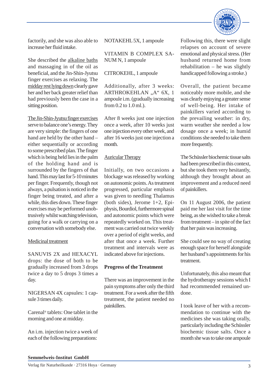

factorily, and she was also able to increase her fluid intake.

She described the alkaline baths and massaging in of the oil as beneficial, and the Jin-Shin-Jyutsu finger exercises as relaxing. The midday rest lying down clearly gave her and her back greater relief than had previously been the case in a sitting position.

The Jin-Shin-Jyutsu finger exercises serve to balance one's energy. They are very simple: the fingers of one hand are held by the other hand – either sequentially or according to some prescribed plan. The finger which is being held lies in the palm of the holding hand and is surrounded by the fingers of that hand. This may last for 5-10 minutes per finger. Frequently, though not always, a pulsation is noticed in the finger being treated, and after a while, this dies down. These finger exercises may be performed unobtrusively whilst watching television, going for a walk or carrying on a conversation with somebody else.

#### Medicinal treatment

SANUVIS 2X and HEXACYL drops: the dose of both to be gradually increased from 3 drops twice a day to 5 drops 3 times a day.

NIGERSAN 4X capsules: 1 capsule 3 times daily.

Carenal® tablets: One tablet in the morning and one at midday.

An i.m. injection twice a week of each of the following preparations:

NOTAKEHL 5X, 1 ampoule

VITAMIN B COMPLEX SA-NUM N, 1 ampoule

CITROKEHL, 1 ampoule

Additionally, after 3 weeks: ARTHROKEHLAN "A" 6X, 1 ampoule i.m. (gradually increasing from 0.2 to 1.0 ml.).

After 8 weeks just one injection once a week, after 10 weeks just one injection every other week, and after 16 weeks just one injection a month.

### Auricular Therapy

Initially, on two occasions a blockage was released by working on autonomic points. As treatment progressed, particular emphasis was given to needling Thalamus (both sides), Jerome 1+2, Epiphysis, Bourdiol, furthermore spinal and autonomic points which were repeatedly worked on. This treatment was carried out twice weekly over a period of eight weeks, and after that once a week. Further treatment and intervals were as indicated above for injections.

#### **Progress of the Treatment**

There was an improvement in the pain symptoms after only the third treatment. For a week after the fifth treatment, the patient needed no painkillers.

Following this, there were slight relapses on account of severe emotional and physical stress. (Her husband returned home from rehabilitation – he was slightly handicapped following a stroke.)

Overall, the patient became noticeably more mobile, and she was clearly enjoying a greater sense of well-being. Her intake of painkillers varied according to the prevailing weather: in dry, warm weather she needed a low dosage once a week; in humid conditions she needed to take them more frequently.

The Schüssler biochemic tissue salts had been prescribed in this context, but she took them very hesitantly, although they brought about an improvement and a reduced need of painkillers.

On 11 August 2006, the patient paid me her last visit for the time being, as she wished to take a break from treatment – in spite of the fact that her pain was increasing.

She could see no way of creating enough space for herself alongside her husband's appointments for his treatment.

Unfortunately, this also meant that the hydrotherapy sessions which I had recommended remained undone.

I took leave of her with a recommendation to continue with the medicines she was taking orally, particularly including the Schüssler biochemic tissue salts. Once a month she was to take one ampoule

#### **Semmelweis-Institut GmbH**